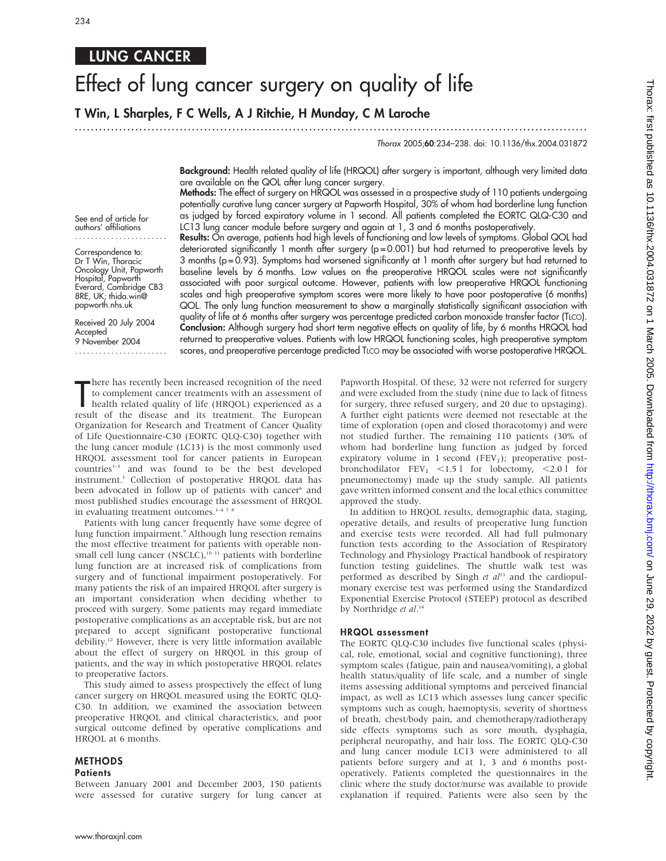## LUNG CANCER

# Effect of lung cancer surgery on quality of life

T Win, L Sharples, F C Wells, A J Ritchie, H Munday, C M Laroche

## ...............................................................................................................................

Thorax 2005;60:234–238. doi: 10.1136/thx.2004.031872

Background: Health related quality of life (HRQOL) after surgery is important, although very limited data are available on the QOL after lung cancer surgery.

Methods: The effect of surgery on HRQOL was assessed in a prospective study of 110 patients undergoing potentially curative lung cancer surgery at Papworth Hospital, 30% of whom had borderline lung function as judged by forced expiratory volume in 1 second. All patients completed the EORTC QLQ-C30 and LC13 lung cancer module before surgery and again at 1, 3 and 6 months postoperatively.

See end of article for authors' affiliations .......................

Correspondence to: Dr T Win, Thoracic Oncology Unit, Papworth Hospital, Papworth Everard, Cambridge CB3 8RE, UK; thida.win@ papworth.nhs.uk

Received 20 July 2004 Accepted 9 November 2004

.......................

Results: On average, patients had high levels of functioning and low levels of symptoms. Global QOL had deteriorated significantly 1 month after surgery (p = 0.001) but had returned to preoperative levels by 3 months (p = 0.93). Symptoms had worsened significantly at 1 month after surgery but had returned to baseline levels by 6 months. Low values on the preoperative HRQOL scales were not significantly associated with poor surgical outcome. However, patients with low preoperative HRQOL functioning scales and high preoperative symptom scores were more likely to have poor postoperative (6 months) QOL. The only lung function measurement to show a marginally statistically significant association with quality of life at 6 months after surgery was percentage predicted carbon monoxide transfer factor (TLCO). Conclusion: Although surgery had short term negative effects on quality of life, by 6 months HRQOL had returned to preoperative values. Patients with low HRQOL functioning scales, high preoperative symptom scores, and preoperative percentage predicted TLCO may be associated with worse postoperative HRQOL.

There has recently been increased recognition of the need<br>to complement cancer treatments with an assessment of<br>health related quality of life (HRQOL) experienced as a<br>result of the disease and its treatment. The European here has recently been increased recognition of the need to complement cancer treatments with an assessment of health related quality of life (HRQOL) experienced as a Organization for Research and Treatment of Cancer Quality of Life Questionnaire-C30 (EORTC QLQ-C30) together with the lung cancer module (LC13) is the most commonly used HRQOL assessment tool for cancer patients in European countries<sup>1-5</sup> and was found to be the best developed instrument.1 Collection of postoperative HRQOL data has been advocated in follow up of patients with cancer<sup>6</sup> and most published studies encourage the assessment of HRQOL in evaluating treatment outcomes.<sup>1-4 7</sup>

Patients with lung cancer frequently have some degree of lung function impairment.<sup>9</sup> Although lung resection remains the most effective treatment for patients with operable nonsmall cell lung cancer (NSCLC),<sup>10 11</sup> patients with borderline lung function are at increased risk of complications from surgery and of functional impairment postoperatively. For many patients the risk of an impaired HRQOL after surgery is an important consideration when deciding whether to proceed with surgery. Some patients may regard immediate postoperative complications as an acceptable risk, but are not prepared to accept significant postoperative functional debility.<sup>12</sup> However, there is very little information available about the effect of surgery on HRQOL in this group of patients, and the way in which postoperative HRQOL relates to preoperative factors.

This study aimed to assess prospectively the effect of lung cancer surgery on HRQOL measured using the EORTC QLQ-C30. In addition, we examined the association between preoperative HRQOL and clinical characteristics, and poor surgical outcome defined by operative complications and HRQOL at 6 months.

## **METHODS**

### **Patients**

Between January 2001 and December 2003, 150 patients were assessed for curative surgery for lung cancer at Papworth Hospital. Of these, 32 were not referred for surgery and were excluded from the study (nine due to lack of fitness for surgery, three refused surgery, and 20 due to upstaging). A further eight patients were deemed not resectable at the time of exploration (open and closed thoracotomy) and were not studied further. The remaining 110 patients (30% of whom had borderline lung function as judged by forced expiratory volume in 1 second (FEV<sub>1</sub>); preoperative postbronchodilator  $FEV_1$  <1.5 l for lobectomy, <2.0 l for pneumonectomy) made up the study sample. All patients gave written informed consent and the local ethics committee approved the study.

In addition to HRQOL results, demographic data, staging, operative details, and results of preoperative lung function and exercise tests were recorded. All had full pulmonary function tests according to the Association of Respiratory Technology and Physiology Practical handbook of respiratory function testing guidelines. The shuttle walk test was performed as described by Singh et  $al<sup>13</sup>$  and the cardiopulmonary exercise test was performed using the Standardized Exponential Exercise Protocol (STEEP) protocol as described by Northridge et al.<sup>14</sup>

### HRQOL assessment

The EORTC QLQ-C30 includes five functional scales (physical, role, emotional, social and cognitive functioning), three symptom scales (fatigue, pain and nausea/vomiting), a global health status/quality of life scale, and a number of single items assessing additional symptoms and perceived financial impact, as well as LC13 which assesses lung cancer specific symptoms such as cough, haemoptysis, severity of shortness of breath, chest/body pain, and chemotherapy/radiotherapy side effects symptoms such as sore mouth, dysphagia, peripheral neuropathy, and hair loss. The EORTC QLQ-C30 and lung cancer module LC13 were administered to all patients before surgery and at 1, 3 and 6 months postoperatively. Patients completed the questionnaires in the clinic where the study doctor/nurse was available to provide explanation if required. Patients were also seen by the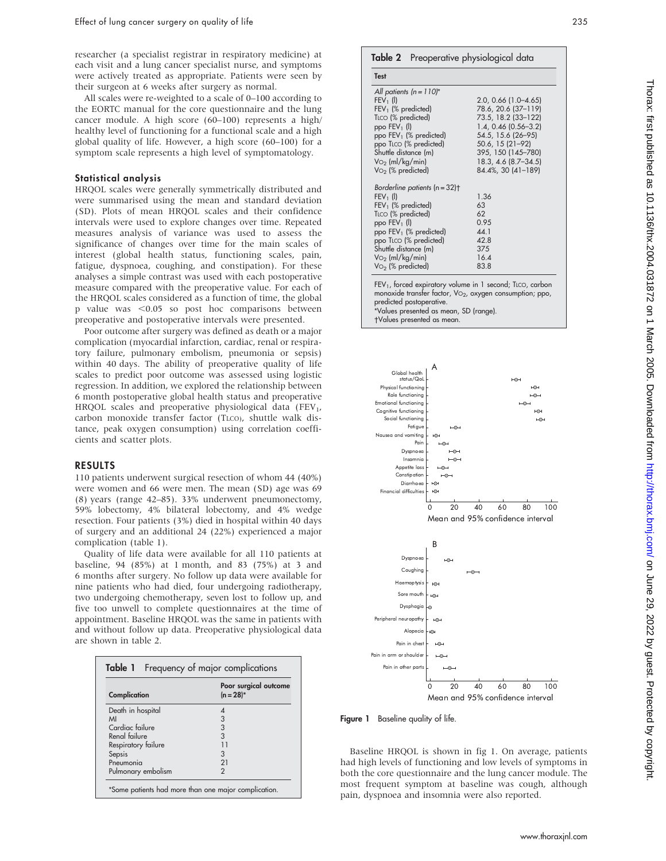researcher (a specialist registrar in respiratory medicine) at each visit and a lung cancer specialist nurse, and symptoms were actively treated as appropriate. Patients were seen by their surgeon at 6 weeks after surgery as normal.

All scales were re-weighted to a scale of 0–100 according to the EORTC manual for the core questionnaire and the lung cancer module. A high score (60–100) represents a high/ healthy level of functioning for a functional scale and a high global quality of life. However, a high score (60–100) for a symptom scale represents a high level of symptomatology.

## Statistical analysis

HRQOL scales were generally symmetrically distributed and were summarised using the mean and standard deviation (SD). Plots of mean HRQOL scales and their confidence intervals were used to explore changes over time. Repeated measures analysis of variance was used to assess the significance of changes over time for the main scales of interest (global health status, functioning scales, pain, fatigue, dyspnoea, coughing, and constipation). For these analyses a simple contrast was used with each postoperative measure compared with the preoperative value. For each of the HRQOL scales considered as a function of time, the global p value was <0.05 so post hoc comparisons between preoperative and postoperative intervals were presented.

Poor outcome after surgery was defined as death or a major complication (myocardial infarction, cardiac, renal or respiratory failure, pulmonary embolism, pneumonia or sepsis) within 40 days. The ability of preoperative quality of life scales to predict poor outcome was assessed using logistic regression. In addition, we explored the relationship between 6 month postoperative global health status and preoperative HRQOL scales and preoperative physiological data (FEV<sub>1</sub>, carbon monoxide transfer factor (TLCO), shuttle walk distance, peak oxygen consumption) using correlation coefficients and scatter plots.

## RESULTS

110 patients underwent surgical resection of whom 44 (40%) were women and 66 were men. The mean (SD) age was 69 (8) years (range 42–85). 33% underwent pneumonectomy, 59% lobectomy, 4% bilateral lobectomy, and 4% wedge resection. Four patients (3%) died in hospital within 40 days of surgery and an additional 24 (22%) experienced a major complication (table 1).

Quality of life data were available for all 110 patients at baseline, 94 (85%) at 1 month, and 83 (75%) at 3 and 6 months after surgery. No follow up data were available for nine patients who had died, four undergoing radiotherapy, two undergoing chemotherapy, seven lost to follow up, and five too unwell to complete questionnaires at the time of appointment. Baseline HRQOL was the same in patients with and without follow up data. Preoperative physiological data are shown in table 2.

| Complication        | Poor surgical outcome<br>$(n = 28)^*$ |  |
|---------------------|---------------------------------------|--|
| Death in hospital   |                                       |  |
| MI                  | 3                                     |  |
| Cardiac failure     | 3                                     |  |
| Renal failure       | $\overline{3}$                        |  |
| Respiratory failure |                                       |  |
| Sepsis              | 3                                     |  |
| Pneumonia           | 21                                    |  |
| Pulmonary embolism  | 2                                     |  |

## Table 2 Preoperative physiological data

Test

| All patients $(n = 110)^{*}$<br>$FEV_1$ (I)<br>$FEV1$ (% predicted)<br>TLCO (% predicted)<br>ppo $FEV_1$ (I) | $2.0, 0.66$ (1.0-4.65)<br>78.6, 20.6 (37-119)<br>73.5, 18.2 (33-122)<br>$1.4, 0.46$ (0.56-3.2) |
|--------------------------------------------------------------------------------------------------------------|------------------------------------------------------------------------------------------------|
| ppo FEV <sub>1</sub> (% predicted)<br>ppo TLCO (% predicted)<br>Shuttle distance (m)                         | 54.5, 15.6 (26-95)<br>50.6, 15 (21-92)<br>395, 150 (145-780)                                   |
| $\mathrm{Vo}_2$ (ml/kg/min)<br>$\mathrm{Vo}_2$ (% predicted)                                                 | 18.3, 4.6 (8.7–34.5)<br>84.4%, 30 (41-189)                                                     |
| Borderline patients $(n = 32)$ †                                                                             |                                                                                                |
| $FEV_1$ (I)                                                                                                  | 1.36                                                                                           |
| $FEV1$ (% predicted)                                                                                         | 63                                                                                             |
| TLCO (% predicted)                                                                                           | 62                                                                                             |
| ppo $FEV_1$ (I)                                                                                              | 0.95                                                                                           |
| ppo $FEV_1$ (% predicted)                                                                                    | 44.1                                                                                           |
| ppo TLCO (% predicted)                                                                                       | 42.8                                                                                           |
| Shuttle distance (m)                                                                                         | 375                                                                                            |
| $\mathrm{Vo}_2$ (ml/kg/min)                                                                                  | 16.4                                                                                           |
| $Vo2$ (% predicted)                                                                                          | 83.8                                                                                           |

monoxide transfer factor, V $\circ_2$ , oxygen consumption; ppo, predicted postoperative. \*Values presented as mean, SD (range). Values presented as mean.



Figure 1 Baseline quality of life.

Baseline HRQOL is shown in fig 1. On average, patients had high levels of functioning and low levels of symptoms in both the core questionnaire and the lung cancer module. The most frequent symptom at baseline was cough, although pain, dyspnoea and insomnia were also reported.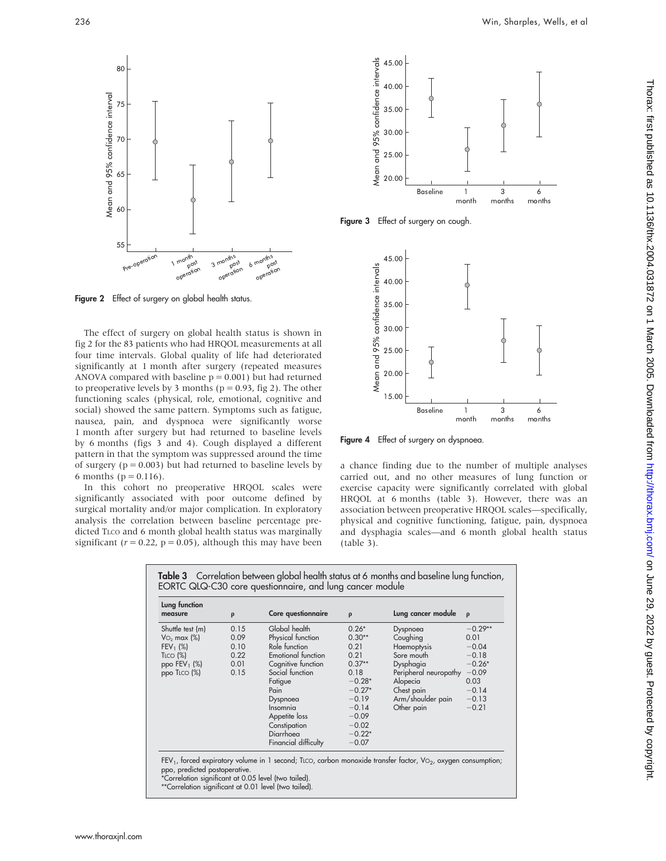

Figure 2 Effect of surgery on global health status.

The effect of surgery on global health status is shown in fig 2 for the 83 patients who had HRQOL measurements at all four time intervals. Global quality of life had deteriorated significantly at 1 month after surgery (repeated measures ANOVA compared with baseline  $p = 0.001$ ) but had returned to preoperative levels by 3 months ( $p = 0.93$ , fig 2). The other functioning scales (physical, role, emotional, cognitive and social) showed the same pattern. Symptoms such as fatigue, nausea, pain, and dyspnoea were significantly worse 1 month after surgery but had returned to baseline levels by 6 months (figs 3 and 4). Cough displayed a different pattern in that the symptom was suppressed around the time of surgery ( $p = 0.003$ ) but had returned to baseline levels by 6 months ( $p = 0.116$ ).

In this cohort no preoperative HRQOL scales were significantly associated with poor outcome defined by surgical mortality and/or major complication. In exploratory analysis the correlation between baseline percentage predicted TLCO and 6 month global health status was marginally significant ( $r = 0.22$ ,  $p = 0.05$ ), although this may have been



Figure 3 Effect of surgery on cough.



Figure 4 Effect of surgery on dyspnoea.

a chance finding due to the number of multiple analyses carried out, and no other measures of lung function or exercise capacity were significantly correlated with global HRQOL at 6 months (table 3). However, there was an association between preoperative HRQOL scales—specifically, physical and cognitive functioning, fatigue, pain, dyspnoea and dysphagia scales—and 6 month global health status (table 3).

| Lung function<br>measure  | $\rho$ | Core questionnaire        | $\rho$   | Lung cancer module    | $\rho$    |
|---------------------------|--------|---------------------------|----------|-----------------------|-----------|
| Shuttle test (m)          | 0.15   | Global health             | $0.26*$  | Dyspnoea              | $-0.29**$ |
| $\sqrt{6}$ max $\sqrt{8}$ | 0.09   | Physical function         | $0.30**$ | Coughing              | 0.01      |
| $FEV_1$ (%)               | 0.10   | Role function             | 0.21     | Haemoptysis           | $-0.04$   |
| $T_{LCO}$ (%)             | 0.22   | <b>Emotional function</b> | 0.21     | Sore mouth            | $-0.18$   |
| ppo $FEV_1$ (%)           | 0.01   | Cognitive function        | $0.37**$ | Dysphagia             | $-0.26*$  |
| ppo TLCO (%)              | 0.15   | Social function           | 0.18     | Peripheral neuropathy | $-0.09$   |
|                           |        | Fatigue                   | $-0.28*$ | Alopecia              | 0.03      |
|                           |        | Pain                      | $-0.27*$ | Chest pain            | $-0.14$   |
|                           |        | Dyspnoea                  | $-0.19$  | Arm/shoulder pain     | $-0.13$   |
|                           |        | Insomnia                  | $-0.14$  | Other pain            | $-0.21$   |
|                           |        | Appetite loss             | $-0.09$  |                       |           |
|                           |        | Constipation              | $-0.02$  |                       |           |
|                           |        | Diarrhoea                 | $-0.22*$ |                       |           |
|                           |        | Financial difficulty      | $-0.07$  |                       |           |

\*\*Correlation significant at 0.01 level (two tailed).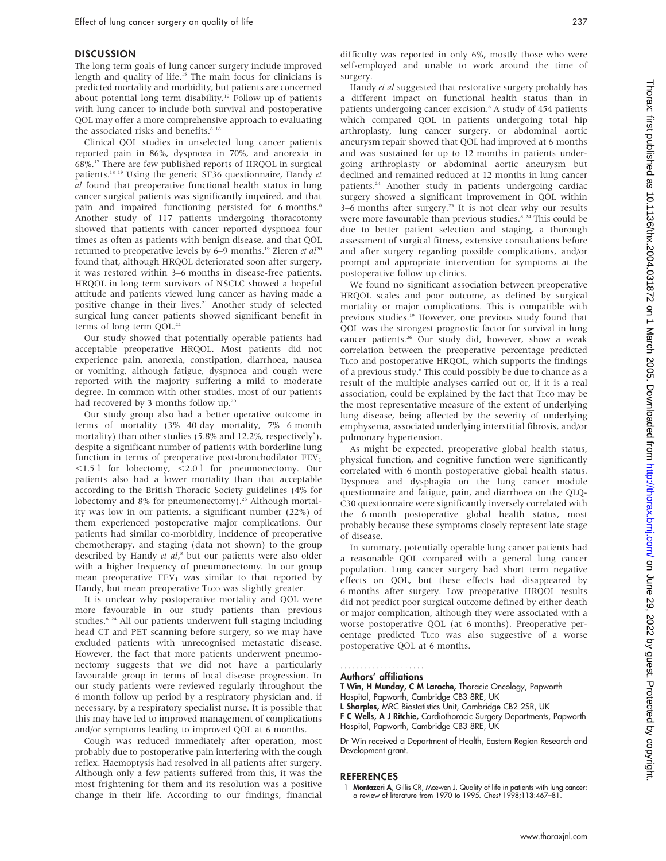## DISCUSSION

The long term goals of lung cancer surgery include improved length and quality of life.<sup>15</sup> The main focus for clinicians is predicted mortality and morbidity, but patients are concerned about potential long term disability.<sup>12</sup> Follow up of patients with lung cancer to include both survival and postoperative QOL may offer a more comprehensive approach to evaluating the associated risks and benefits.<sup>6 16</sup>

Clinical QOL studies in unselected lung cancer patients reported pain in 86%, dyspnoea in 70%, and anorexia in 68%.17 There are few published reports of HRQOL in surgical patients.18 19 Using the generic SF36 questionnaire, Handy et al found that preoperative functional health status in lung cancer surgical patients was significantly impaired, and that pain and impaired functioning persisted for 6 months.<sup>8</sup> Another study of 117 patients undergoing thoracotomy showed that patients with cancer reported dyspnoea four times as often as patients with benign disease, and that QOL returned to preoperative levels by  $6-9$  months.<sup>19</sup> Zieren et  $al^{20}$ found that, although HRQOL deteriorated soon after surgery, it was restored within 3–6 months in disease-free patients. HRQOL in long term survivors of NSCLC showed a hopeful attitude and patients viewed lung cancer as having made a positive change in their lives.<sup>21</sup> Another study of selected surgical lung cancer patients showed significant benefit in terms of long term QOL.<sup>22</sup>

Our study showed that potentially operable patients had acceptable preoperative HRQOL. Most patients did not experience pain, anorexia, constipation, diarrhoea, nausea or vomiting, although fatigue, dyspnoea and cough were reported with the majority suffering a mild to moderate degree. In common with other studies, most of our patients had recovered by 3 months follow up.<sup>20</sup>

Our study group also had a better operative outcome in terms of mortality (3% 40 day mortality, 7% 6 month mortality) than other studies (5.8% and 12.2%, respectively<sup>8</sup>), despite a significant number of patients with borderline lung function in terms of preoperative post-bronchodilator  $FEV<sub>1</sub>$  $\le$ 1.5 l for lobectomy,  $\le$ 2.0 l for pneumonectomy. Our patients also had a lower mortality than that acceptable according to the British Thoracic Society guidelines (4% for lobectomy and 8% for pneumonectomy).<sup>23</sup> Although mortality was low in our patients, a significant number (22%) of them experienced postoperative major complications. Our patients had similar co-morbidity, incidence of preoperative chemotherapy, and staging (data not shown) to the group described by Handy et al,<sup>8</sup> but our patients were also older with a higher frequency of pneumonectomy. In our group mean preoperative  $FEV<sub>1</sub>$  was similar to that reported by Handy, but mean preoperative TLCO was slightly greater.

It is unclear why postoperative mortality and QOL were more favourable in our study patients than previous studies.<sup>8 24</sup> All our patients underwent full staging including head CT and PET scanning before surgery, so we may have excluded patients with unrecognised metastatic disease. However, the fact that more patients underwent pneumonectomy suggests that we did not have a particularly favourable group in terms of local disease progression. In our study patients were reviewed regularly throughout the 6 month follow up period by a respiratory physician and, if necessary, by a respiratory specialist nurse. It is possible that this may have led to improved management of complications and/or symptoms leading to improved QOL at 6 months.

Cough was reduced immediately after operation, most probably due to postoperative pain interfering with the cough reflex. Haemoptysis had resolved in all patients after surgery. Although only a few patients suffered from this, it was the most frightening for them and its resolution was a positive change in their life. According to our findings, financial difficulty was reported in only 6%, mostly those who were self-employed and unable to work around the time of surgery.

Handy et al suggested that restorative surgery probably has a different impact on functional health status than in patients undergoing cancer excision.<sup>8</sup> A study of 454 patients which compared QOL in patients undergoing total hip arthroplasty, lung cancer surgery, or abdominal aortic aneurysm repair showed that QOL had improved at 6 months and was sustained for up to 12 months in patients undergoing arthroplasty or abdominal aortic aneurysm but declined and remained reduced at 12 months in lung cancer patients.24 Another study in patients undergoing cardiac surgery showed a significant improvement in QOL within 3-6 months after surgery.<sup>25</sup> It is not clear why our results were more favourable than previous studies.<sup>8 24</sup> This could be due to better patient selection and staging, a thorough assessment of surgical fitness, extensive consultations before and after surgery regarding possible complications, and/or prompt and appropriate intervention for symptoms at the postoperative follow up clinics.

We found no significant association between preoperative HRQOL scales and poor outcome, as defined by surgical mortality or major complications. This is compatible with previous studies.<sup>19</sup> However, one previous study found that QOL was the strongest prognostic factor for survival in lung cancer patients.<sup>26</sup> Our study did, however, show a weak correlation between the preoperative percentage predicted TLCO and postoperative HRQOL, which supports the findings of a previous study.8 This could possibly be due to chance as a result of the multiple analyses carried out or, if it is a real association, could be explained by the fact that TLCO may be the most representative measure of the extent of underlying lung disease, being affected by the severity of underlying emphysema, associated underlying interstitial fibrosis, and/or pulmonary hypertension.

As might be expected, preoperative global health status, physical function, and cognitive function were significantly correlated with 6 month postoperative global health status. Dyspnoea and dysphagia on the lung cancer module questionnaire and fatigue, pain, and diarrhoea on the QLQ-C30 questionnaire were significantly inversely correlated with the 6 month postoperative global health status, most probably because these symptoms closely represent late stage of disease.

In summary, potentially operable lung cancer patients had a reasonable QOL compared with a general lung cancer population. Lung cancer surgery had short term negative effects on QOL, but these effects had disappeared by 6 months after surgery. Low preoperative HRQOL results did not predict poor surgical outcome defined by either death or major complication, although they were associated with a worse postoperative QOL (at 6 months). Preoperative percentage predicted TLCO was also suggestive of a worse postoperative QOL at 6 months.

#### Authors' affiliations .....................

T Win, H Munday, C M Laroche, Thoracic Oncology, Papworth Hospital, Papworth, Cambridge CB3 8RE, UK

L Sharples, MRC Biostatistics Unit, Cambridge CB2 2SR, UK

F C Wells, A J Ritchie, Cardiothoracic Surgery Departments, Papworth Hospital, Papworth, Cambridge CB3 8RE, UK

Dr Win received a Department of Health, Eastern Region Research and Development grant.

#### REFERENCES

1 Montazeri A, Gillis CR, Mcewen J. Quality of life in patients with lung cancer: a review of literature from 1970 to 1995. Chest 1998;113:467–81.